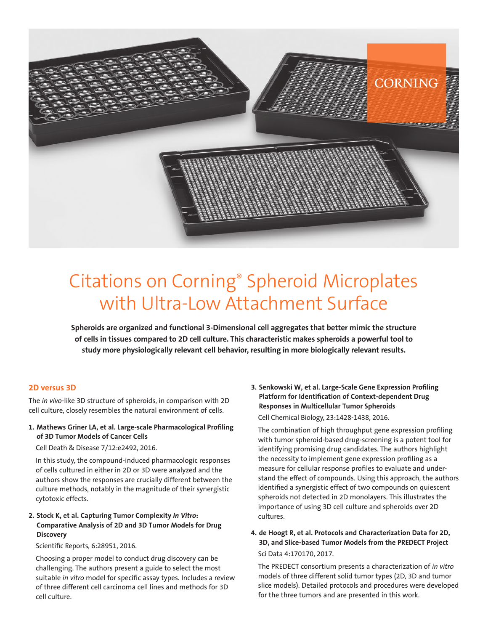

# Citations on Corning® Spheroid Microplates with Ultra-Low Attachment Surface

**Spheroids are organized and functional 3-Dimensional cell aggregates that better mimic the structure of cells in tissues compared to 2D cell culture. This characteristic makes spheroids a powerful tool to study more physiologically relevant cell behavior, resulting in more biologically relevant results.**

#### **2D versus 3D**

The *in vivo*-like 3D structure of spheroids, in comparison with 2D cell culture, closely resembles the natural environment of cells.

#### **1. Mathews Griner LA, et al. Large-scale Pharmacological Profiling of 3D Tumor Models of Cancer Cells**

Cell Death & Disease 7/12:e2492, 2016.

In this study, the compound-induced pharmacologic responses of cells cultured in either in 2D or 3D were analyzed and the authors show the responses are crucially different between the culture methods, notably in the magnitude of their synergistic cytotoxic effects.

#### **2. Stock K, et al. Capturing Tumor Complexity** *In Vitro***: Comparative Analysis of 2D and 3D Tumor Models for Drug Discovery**

Scientific Reports, 6:28951, 2016.

Choosing a proper model to conduct drug discovery can be challenging. The authors present a guide to select the most suitable *in vitro* model for specific assay types. Includes a review of three different cell carcinoma cell lines and methods for 3D cell culture.

**3. Senkowski W, et al. Large-Scale Gene Expression Profiling Platform for Identification of Context-dependent Drug Responses in Multicellular Tumor Spheroids** Cell Chemical Biology, 23:1428-1438, 2016.

The combination of high throughput gene expression profiling with tumor spheroid-based drug-screening is a potent tool for identifying promising drug candidates. The authors highlight the necessity to implement gene expression profiling as a measure for cellular response profiles to evaluate and understand the effect of compounds. Using this approach, the authors identified a synergistic effect of two compounds on quiescent spheroids not detected in 2D monolayers. This illustrates the importance of using 3D cell culture and spheroids over 2D cultures.

**4. de Hoogt R, et al. Protocols and Characterization Data for 2D, 3D, and Slice-based Tumor Models from the PREDECT Project** Sci Data 4:170170, 2017.

The PREDECT consortium presents a characterization of *in vitro* models of three different solid tumor types (2D, 3D and tumor slice models). Detailed protocols and procedures were developed for the three tumors and are presented in this work.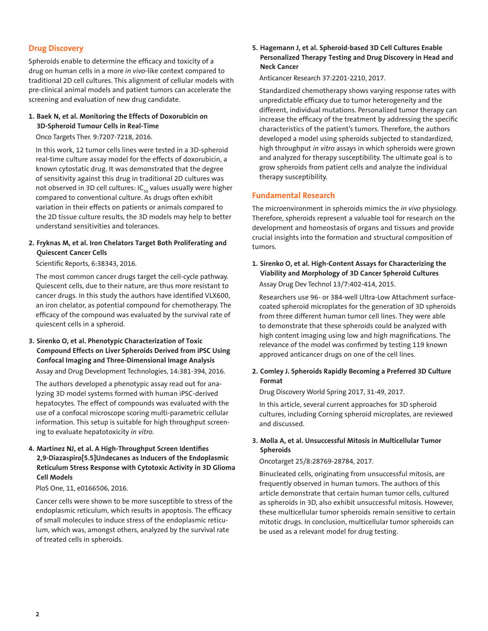# **Drug Discovery**

Spheroids enable to determine the efficacy and toxicity of a drug on human cells in a more *in vivo*-like context compared to traditional 2D cell cultures. This alignment of cellular models with pre-clinical animal models and patient tumors can accelerate the screening and evaluation of new drug candidate.

#### **1. Baek N, et al. Monitoring the Effects of Doxorubicin on 3D-Spheroid Tumour Cells in Real-Time**

Onco Targets Ther. 9:7207-7218, 2016.

In this work, 12 tumor cells lines were tested in a 3D-spheroid real-time culture assay model for the effects of doxorubicin, a known cytostatic drug. It was demonstrated that the degree of sensitivity against this drug in traditional 2D cultures was not observed in 3D cell cultures:  $IC_{50}$  values usually were higher compared to conventional culture. As drugs often exhibit variation in their effects on patients or animals compared to the 2D tissue culture results, the 3D models may help to better understand sensitivities and tolerances.

#### **2. Fryknas M, et al. Iron Chelators Target Both Proliferating and Quiescent Cancer Cells**

Scientific Reports, 6:38343, 2016.

The most common cancer drugs target the cell-cycle pathway. Quiescent cells, due to their nature, are thus more resistant to cancer drugs. In this study the authors have identified VLX600, an iron chelator, as potential compound for chemotherapy. The efficacy of the compound was evaluated by the survival rate of quiescent cells in a spheroid.

# **3. Sirenko O, et al. Phenotypic Characterization of Toxic Compound Effects on Liver Spheroids Derived from iPSC Using Confocal Imaging and Three-Dimensional Image Analysis**

Assay and Drug Development Technologies, 14:381-394, 2016.

The authors developed a phenotypic assay read out for analyzing 3D model systems formed with human iPSC-derived hepatocytes. The effect of compounds was evaluated with the use of a confocal microscope scoring multi-parametric cellular information. This setup is suitable for high throughput screening to evaluate hepatotoxicity *in vitro*.

#### **4. Martinez NJ, et al. A High-Throughput Screen Identifies 2,9-Diazaspiro[5.5]Undecanes as Inducers of the Endoplasmic Reticulum Stress Response with Cytotoxic Activity in 3D Glioma Cell Models**

PloS One, 11, e0166506, 2016.

Cancer cells were shown to be more susceptible to stress of the endoplasmic reticulum, which results in apoptosis. The efficacy of small molecules to induce stress of the endoplasmic reticulum, which was, amongst others, analyzed by the survival rate of treated cells in spheroids.

#### **5. Hagemann J, et al. Spheroid-based 3D Cell Cultures Enable Personalized Therapy Testing and Drug Discovery in Head and Neck Cancer**

Anticancer Research 37:2201-2210, 2017.

Standardized chemotherapy shows varying response rates with unpredictable efficacy due to tumor heterogeneity and the different, individual mutations. Personalized tumor therapy can increase the efficacy of the treatment by addressing the specific characteristics of the patient's tumors. Therefore, the authors developed a model using spheroids subjected to standardized, high throughput *in vitro* assays in which spheroids were grown and analyzed for therapy susceptibility. The ultimate goal is to grow spheroids from patient cells and analyze the individual therapy susceptibility.

### **Fundamental Research**

The microenvironment in spheroids mimics the *in vivo* physiology. Therefore, spheroids represent a valuable tool for research on the development and homeostasis of organs and tissues and provide crucial insights into the formation and structural composition of tumors.

**1. Sirenko O, et al. High-Content Assays for Characterizing the Viability and Morphology of 3D Cancer Spheroid Cultures** Assay Drug Dev Technol 13/7:402-414, 2015.

Researchers use 96- or 384-well Ultra-Low Attachment surfacecoated spheroid microplates for the generation of 3D spheroids from three different human tumor cell lines. They were able to demonstrate that these spheroids could be analyzed with high content imaging using low and high magnifications. The relevance of the model was confirmed by testing 119 known approved anticancer drugs on one of the cell lines.

**2. Comley J. Spheroids Rapidly Becoming a Preferred 3D Culture Format**

Drug Discovery World Spring 2017, 31-49, 2017.

In this article, several current approaches for 3D spheroid cultures, including Corning spheroid microplates, are reviewed and discussed.

#### **3. Molla A, et al. Unsuccessful Mitosis in Multicellular Tumor Spheroids**

#### Oncotarget 25/8:28769-28784, 2017.

Binucleated cells, originating from unsuccessful mitosis, are frequently observed in human tumors. The authors of this article demonstrate that certain human tumor cells, cultured as spheroids in 3D, also exhibit unsuccessful mitosis. However, these multicellular tumor spheroids remain sensitive to certain mitotic drugs. In conclusion, multicellular tumor spheroids can be used as a relevant model for drug testing.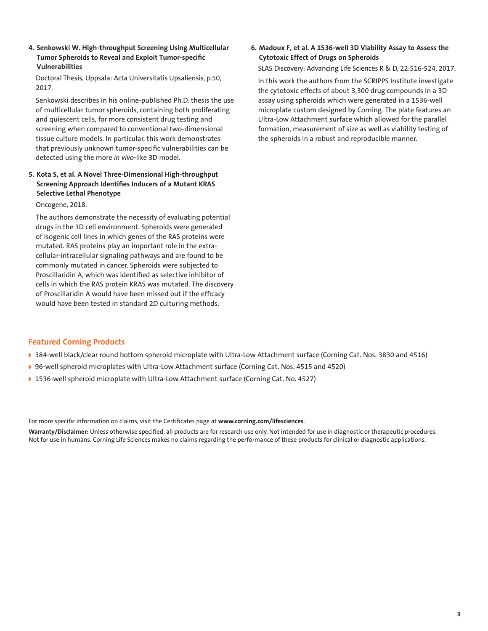**4. Senkowski W. High-throughput Screening Using Multicellular Tumor Spheroids to Reveal and Exploit Tumor-specific Vulnerabilities**

Doctoral Thesis, Uppsala: Acta Universitatis Upsaliensis, p.50, 2017.

Senkowski describes in his online-published Ph.D. thesis the use of multicellular tumor spheroids, containing both proliferating and quiescent cells, for more consistent drug testing and screening when compared to conventional two-dimensional tissue culture models. In particular, this work demonstrates that previously unknown tumor-specific vulnerabilities can be detected using the more *in vivo*-like 3D model.

## **5. Kota S, et al. A Novel Three-Dimensional High-throughput Screening Approach Identifies Inducers of a Mutant KRAS Selective Lethal Phenotype**

Oncogene, 2018.

The authors demonstrate the necessity of evaluating potential drugs in the 3D cell environment. Spheroids were generated of isogenic cell lines in which genes of the RAS proteins were mutated. RAS proteins play an important role in the extracellular-intracellular signaling pathways and are found to be commonly mutated in cancer. Spheroids were subjected to Proscillaridin A, which was identified as selective inhibitor of cells in which the RAS protein KRAS was mutated. The discovery of Proscillaridin A would have been missed out if the efficacy would have been tested in standard 2D culturing methods.

## **6. Madoux F, et al. A 1536-well 3D Viability Assay to Assess the Cytotoxic Effect of Drugs on Spheroids**

SLAS Discovery: Advancing Life Sciences R & D, 22:516-524, 2017.

In this work the authors from the SCRIPPS Institute investigate the cytotoxic effects of about 3,300 drug compounds in a 3D assay using spheroids which were generated in a 1536-well microplate custom designed by Corning. The plate features an Ultra-Low Attachment surface which allowed for the parallel formation, measurement of size as well as viability testing of the spheroids in a robust and reproducible manner.

#### **Featured Corning Products**

- ◗ [384-well black/clear round bottom spheroid microplate with Ultra-Low Attachment surface \(](https://ecatalog.corning.com/life-sciences/b2c/US/en/Microplates/Assay-Microplates/384-Well-Microplates/Corning%C2%AE-384-well-Spheroid-Microplates/p/3830)Corning Cat. Nos. 3830 and 4516)
- ◗ 96-well spheroid microplates with Ultra-Low Attachment surface (Corning Cat. Nos. 4515 and 4520)
- ◗ 1536-well spheroid microplate with Ultra-Low Attachment surface (Corning Cat. No. 4527)

For more specific information on claims, visit the Certificates page at **www.corning.com/lifesciences**.

**Warranty/Disclaimer:** Unless otherwise specified, all products are for research use only. Not intended for use in diagnostic or therapeutic procedures. Not for use in humans. Corning Life Sciences makes no claims regarding the performance of these products for clinical or diagnostic applications.